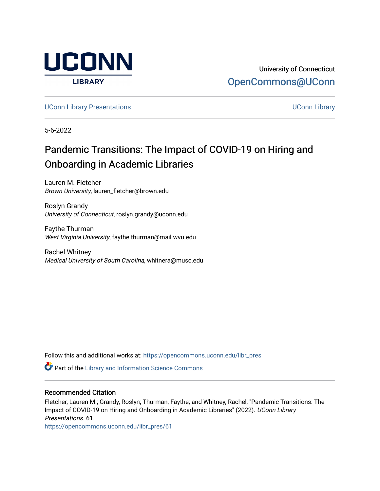

University of Connecticut [OpenCommons@UConn](https://opencommons.uconn.edu/) 

[UConn Library Presentations](https://opencommons.uconn.edu/libr_pres) **UConn Library** UConn Library

5-6-2022

# Pandemic Transitions: The Impact of COVID-19 on Hiring and Onboarding in Academic Libraries

Lauren M. Fletcher Brown University, lauren\_fletcher@brown.edu

Roslyn Grandy University of Connecticut, roslyn.grandy@uconn.edu

Faythe Thurman West Virginia University, faythe.thurman@mail.wvu.edu

Rachel Whitney Medical University of South Carolina, whitnera@musc.edu

Follow this and additional works at: [https://opencommons.uconn.edu/libr\\_pres](https://opencommons.uconn.edu/libr_pres?utm_source=opencommons.uconn.edu%2Flibr_pres%2F61&utm_medium=PDF&utm_campaign=PDFCoverPages)

Part of the [Library and Information Science Commons](https://network.bepress.com/hgg/discipline/1018?utm_source=opencommons.uconn.edu%2Flibr_pres%2F61&utm_medium=PDF&utm_campaign=PDFCoverPages) 

### Recommended Citation

Fletcher, Lauren M.; Grandy, Roslyn; Thurman, Faythe; and Whitney, Rachel, "Pandemic Transitions: The Impact of COVID-19 on Hiring and Onboarding in Academic Libraries" (2022). UConn Library Presentations. 61.

[https://opencommons.uconn.edu/libr\\_pres/61](https://opencommons.uconn.edu/libr_pres/61?utm_source=opencommons.uconn.edu%2Flibr_pres%2F61&utm_medium=PDF&utm_campaign=PDFCoverPages)